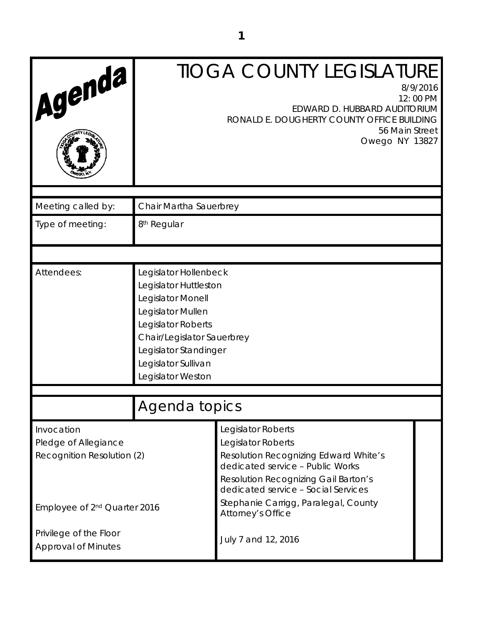| Agenda                                                           |                                                                                                                                                                                                                   | <b>TIOGA COUNTY LEGISLATURE</b><br>8/9/2016<br>12:00 PM<br>EDWARD D. HUBBARD AUDITORIUM<br>RONALD E. DOUGHERTY COUNTY OFFICE BUILDING<br>56 Main Street<br>Owego NY 13827                                          |
|------------------------------------------------------------------|-------------------------------------------------------------------------------------------------------------------------------------------------------------------------------------------------------------------|--------------------------------------------------------------------------------------------------------------------------------------------------------------------------------------------------------------------|
| Meeting called by:                                               | Chair Martha Sauerbrey                                                                                                                                                                                            |                                                                                                                                                                                                                    |
| Type of meeting:                                                 | 8 <sup>th</sup> Regular                                                                                                                                                                                           |                                                                                                                                                                                                                    |
|                                                                  |                                                                                                                                                                                                                   |                                                                                                                                                                                                                    |
| Attendees:                                                       | Legislator Hollenbeck<br>Legislator Huttleston<br>Legislator Monell<br>Legislator Mullen<br>Legislator Roberts<br>Chair/Legislator Sauerbrey<br>Legislator Standinger<br>Legislator Sullivan<br>Legislator Weston |                                                                                                                                                                                                                    |
|                                                                  |                                                                                                                                                                                                                   |                                                                                                                                                                                                                    |
|                                                                  | Agenda topics                                                                                                                                                                                                     |                                                                                                                                                                                                                    |
| Invocation<br>Pledge of Allegiance<br>Recognition Resolution (2) |                                                                                                                                                                                                                   | Legislator Roberts<br>Legislator Roberts<br><b>Resolution Recognizing Edward White's</b><br>dedicated service - Public Works<br><b>Resolution Recognizing Gail Barton's</b><br>dedicated service - Social Services |
| Employee of 2 <sup>nd</sup> Quarter 2016                         |                                                                                                                                                                                                                   | Stephanie Carrigg, Paralegal, County<br>Attorney's Office                                                                                                                                                          |
| Privilege of the Floor<br><b>Approval of Minutes</b>             |                                                                                                                                                                                                                   | July 7 and 12, 2016                                                                                                                                                                                                |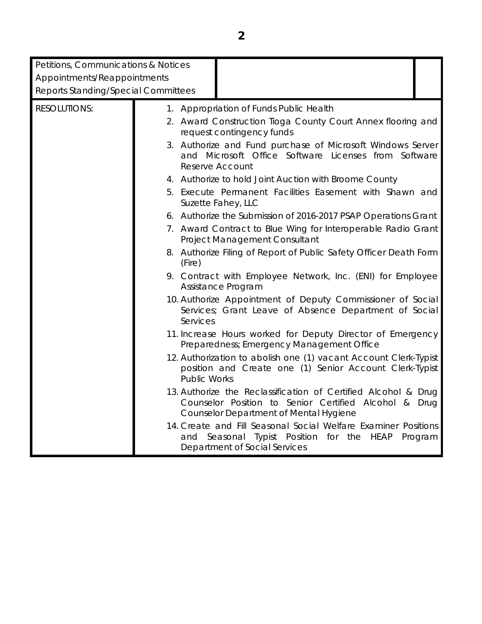| Petitions, Communications & Notices<br>Appointments/Reappointments |                     |                                                                                                                                                                          |
|--------------------------------------------------------------------|---------------------|--------------------------------------------------------------------------------------------------------------------------------------------------------------------------|
| <b>Reports Standing/Special Committees</b>                         |                     |                                                                                                                                                                          |
| <b>RESOLUTIONS:</b>                                                |                     | 1. Appropriation of Funds Public Health                                                                                                                                  |
|                                                                    |                     | 2. Award Construction Tioga County Court Annex flooring and<br>request contingency funds                                                                                 |
|                                                                    |                     | 3. Authorize and Fund purchase of Microsoft Windows Server<br>and Microsoft Office Software Licenses from Software<br><b>Reserve Account</b>                             |
|                                                                    |                     | 4. Authorize to hold Joint Auction with Broome County                                                                                                                    |
|                                                                    |                     | 5. Execute Permanent Facilities Easement with Shawn and<br>Suzette Fahey, LLC                                                                                            |
|                                                                    |                     | 6. Authorize the Submission of 2016-2017 PSAP Operations Grant                                                                                                           |
|                                                                    |                     | 7. Award Contract to Blue Wing for Interoperable Radio Grant<br>Project Management Consultant                                                                            |
|                                                                    | (Fire)              | 8. Authorize Filing of Report of Public Safety Officer Death Form                                                                                                        |
|                                                                    |                     | 9. Contract with Employee Network, Inc. (ENI) for Employee<br>Assistance Program                                                                                         |
|                                                                    | Services            | 10. Authorize Appointment of Deputy Commissioner of Social<br>Services; Grant Leave of Absence Department of Social                                                      |
|                                                                    |                     | 11. Increase Hours worked for Deputy Director of Emergency<br>Preparedness; Emergency Management Office                                                                  |
|                                                                    | <b>Public Works</b> | 12. Authorization to abolish one (1) vacant Account Clerk-Typist<br>position and Create one (1) Senior Account Clerk-Typist                                              |
|                                                                    |                     | 13. Authorize the Reclassification of Certified Alcohol & Drug<br>Counselor Position to Senior Certified Alcohol & Drug<br><b>Counselor Department of Mental Hygiene</b> |
|                                                                    | and                 | 14. Create and Fill Seasonal Social Welfare Examiner Positions<br>Seasonal Typist Position for the<br>HEAP<br>Program<br>Department of Social Services                   |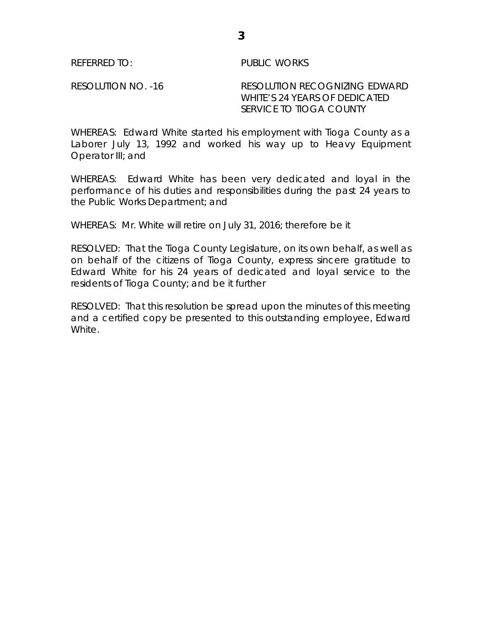REFERRED TO: PUBLIC WORKS

RESOLUTION NO. -16 RESOLUTION RECOGNIZING EDWARD WHITE'S 24 YEARS OF DEDICATED SERVICE TO TIOGA COUNTY

WHEREAS: Edward White started his employment with Tioga County as a Laborer July 13, 1992 and worked his way up to Heavy Equipment Operator III; and

WHEREAS: Edward White has been very dedicated and loyal in the performance of his duties and responsibilities during the past 24 years to the Public Works Department; and

WHEREAS: Mr. White will retire on July 31, 2016; therefore be it

RESOLVED: That the Tioga County Legislature, on its own behalf, as well as on behalf of the citizens of Tioga County, express sincere gratitude to Edward White for his 24 years of dedicated and loyal service to the residents of Tioga County; and be it further

RESOLVED: That this resolution be spread upon the minutes of this meeting and a certified copy be presented to this outstanding employee, Edward White.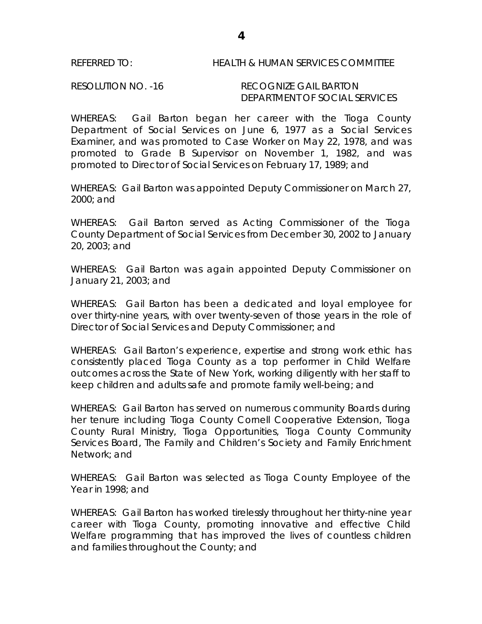# REFERRED TO: HEALTH & HUMAN SERVICES COMMITTEE

RESOLUTION NO. -16 RECOGNIZE GAIL BARTON DEPARTMENT OF SOCIAL SERVICES

WHEREAS: Gail Barton began her career with the Tioga County Department of Social Services on June 6, 1977 as a Social Services Examiner, and was promoted to Case Worker on May 22, 1978, and was promoted to Grade B Supervisor on November 1, 1982, and was promoted to Director of Social Services on February 17, 1989; and

WHEREAS: Gail Barton was appointed Deputy Commissioner on March 27, 2000; and

WHEREAS: Gail Barton served as Acting Commissioner of the Tioga County Department of Social Services from December 30, 2002 to January 20, 2003; and

WHEREAS: Gail Barton was again appointed Deputy Commissioner on January 21, 2003; and

WHEREAS: Gail Barton has been a dedicated and loyal employee for over thirty-nine years, with over twenty-seven of those years in the role of Director of Social Services and Deputy Commissioner; and

WHEREAS: Gail Barton's experience, expertise and strong work ethic has consistently placed Tioga County as a top performer in Child Welfare outcomes across the State of New York, working diligently with her staff to keep children and adults safe and promote family well-being; and

WHEREAS: Gail Barton has served on numerous community Boards during her tenure including Tioga County Cornell Cooperative Extension, Tioga County Rural Ministry, Tioga Opportunities, Tioga County Community Services Board, The Family and Children's Society and Family Enrichment Network; and

WHEREAS: Gail Barton was selected as Tioga County Employee of the Year in 1998; and

WHEREAS: Gail Barton has worked tirelessly throughout her thirty-nine year career with Tioga County, promoting innovative and effective Child Welfare programming that has improved the lives of countless children and families throughout the County; and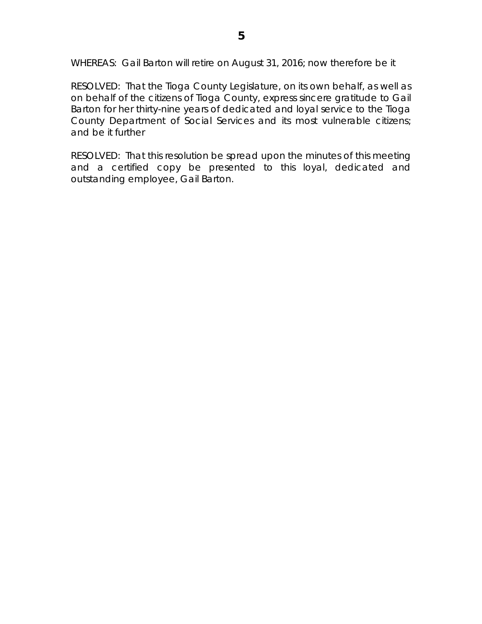WHEREAS: Gail Barton will retire on August 31, 2016; now therefore be it

RESOLVED: That the Tioga County Legislature, on its own behalf, as well as on behalf of the citizens of Tioga County, express sincere gratitude to Gail Barton for her thirty-nine years of dedicated and loyal service to the Tioga County Department of Social Services and its most vulnerable citizens; and be it further

RESOLVED: That this resolution be spread upon the minutes of this meeting and a certified copy be presented to this loyal, dedicated and outstanding employee, Gail Barton.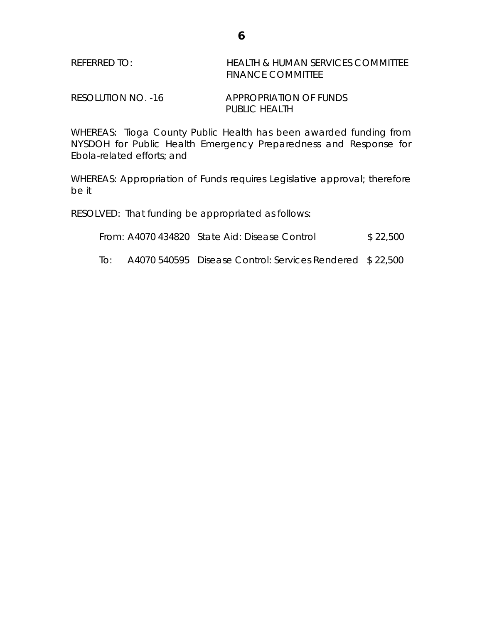| REFERRED TO: | HEALTH & HUMAN SERVICES COMMITTEE |
|--------------|-----------------------------------|
|              | <b>FINANCE COMMITTEE</b>          |
|              |                                   |

RESOLUTION NO. -16 APPROPRIATION OF FUNDS PUBLIC HEALTH

WHEREAS: Tioga County Public Health has been awarded funding from NYSDOH for Public Health Emergency Preparedness and Response for Ebola-related efforts; and

WHEREAS: Appropriation of Funds requires Legislative approval; therefore be it

RESOLVED: That funding be appropriated as follows:

From: A4070 434820 State Aid: Disease Control \$ 22,500

To: A4070 540595 Disease Control: Services Rendered \$ 22,500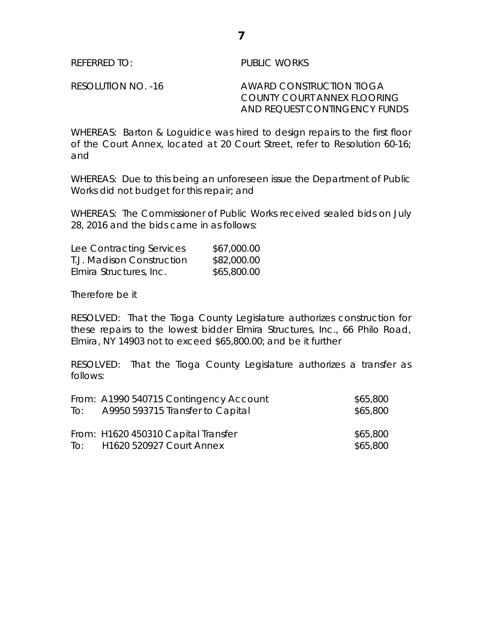REFERRED TO: PUBLIC WORKS

RESOLUTION NO. -16 AWARD CONSTRUCTION TIOGA COUNTY COURT ANNEX FLOORING AND REQUEST CONTINGENCY FUNDS

WHEREAS: Barton & Loguidice was hired to design repairs to the first floor of the Court Annex, located at 20 Court Street, refer to Resolution 60-16; and

WHEREAS: Due to this being an unforeseen issue the Department of Public Works did not budget for this repair; and

WHEREAS: The Commissioner of Public Works received sealed bids on July 28, 2016 and the bids came in as follows:

| Lee Contracting Services  | \$67,000.00 |
|---------------------------|-------------|
| T.J. Madison Construction | \$82,000.00 |
| Elmira Structures, Inc.   | \$65,800.00 |

Therefore be it

RESOLVED: That the Tioga County Legislature authorizes construction for these repairs to the lowest bidder Elmira Structures, Inc., 66 Philo Road, Elmira, NY 14903 not to exceed \$65,800.00; and be it further

RESOLVED: That the Tioga County Legislature authorizes a transfer as follows:

| To: | From: A1990 540715 Contingency Account<br>A9950 593715 Transfer to Capital | \$65,800<br>\$65,800 |
|-----|----------------------------------------------------------------------------|----------------------|
|     | From: H1620 450310 Capital Transfer<br>To: H1620 520927 Court Annex        | \$65,800<br>\$65,800 |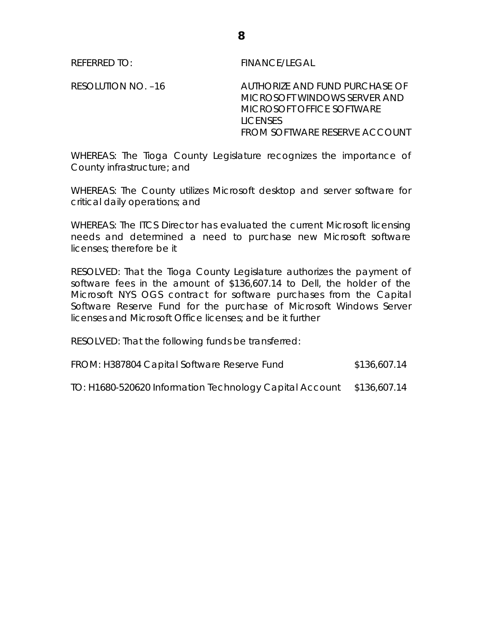REFERRED TO: FINANCE/LEGAL

RESOLUTION NO. -16 AUTHORIZE AND FUND PURCHASE OF MICROSOFT WINDOWS SERVER AND MICROSOFT OFFICE SOFTWARE LICENSES FROM SOFTWARE RESERVE ACCOUNT

WHEREAS: The Tioga County Legislature recognizes the importance of County infrastructure; and

WHEREAS: The County utilizes Microsoft desktop and server software for critical daily operations; and

WHEREAS: The ITCS Director has evaluated the current Microsoft licensing needs and determined a need to purchase new Microsoft software licenses; therefore be it

RESOLVED: That the Tioga County Legislature authorizes the payment of software fees in the amount of \$136,607.14 to Dell, the holder of the Microsoft NYS OGS contract for software purchases from the Capital Software Reserve Fund for the purchase of Microsoft Windows Server licenses and Microsoft Office licenses; and be it further

RESOLVED: That the following funds be transferred:

| FROM: H387804 Capital Software Reserve Fund | \$136,607.14 |
|---------------------------------------------|--------------|
|---------------------------------------------|--------------|

TO: H1680-520620 Information Technology Capital Account \$136,607.14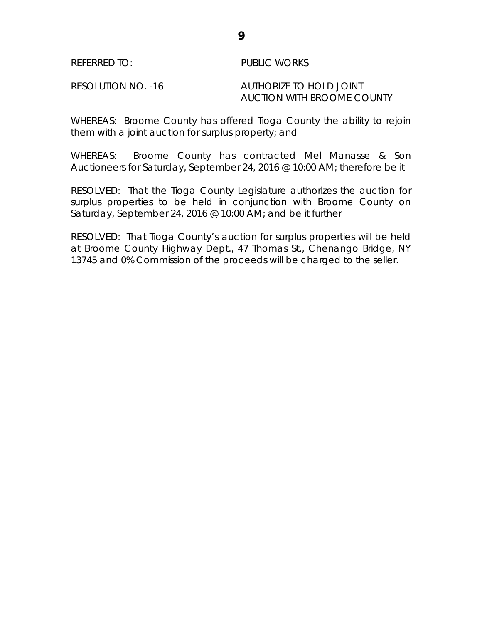### REFERRED TO: PUBLIC WORKS

RESOLUTION NO. -16 AUTHORIZE TO HOLD JOINT AUCTION WITH BROOME COUNTY

WHEREAS: Broome County has offered Tioga County the ability to rejoin them with a joint auction for surplus property; and

WHEREAS: Broome County has contracted Mel Manasse & Son Auctioneers for Saturday, September 24, 2016 @ 10:00 AM; therefore be it

RESOLVED: That the Tioga County Legislature authorizes the auction for surplus properties to be held in conjunction with Broome County on Saturday, September 24, 2016 @ 10:00 AM; and be it further

RESOLVED: That Tioga County's auction for surplus properties will be held at Broome County Highway Dept., 47 Thomas St., Chenango Bridge, NY 13745 and 0% Commission of the proceeds will be charged to the seller.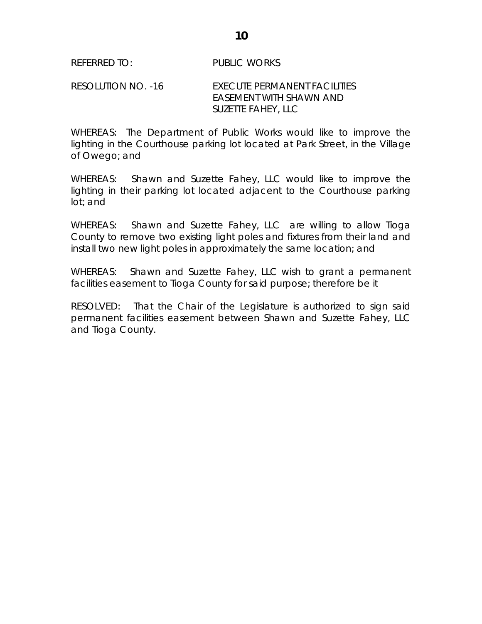# RESOLUTION NO. -16 EXECUTE PERMANENT FACILITIES EASEMENT WITH SHAWN AND SUZETTE FAHEY, LLC

WHEREAS: The Department of Public Works would like to improve the lighting in the Courthouse parking lot located at Park Street, in the Village of Owego; and

WHEREAS: Shawn and Suzette Fahey, LLC would like to improve the lighting in their parking lot located adjacent to the Courthouse parking lot; and

WHEREAS: Shawn and Suzette Fahey, LLC are willing to allow Tioga County to remove two existing light poles and fixtures from their land and install two new light poles in approximately the same location; and

WHEREAS: Shawn and Suzette Fahey, LLC wish to grant a permanent facilities easement to Tioga County for said purpose; therefore be it

RESOLVED: That the Chair of the Legislature is authorized to sign said permanent facilities easement between Shawn and Suzette Fahey, LLC and Tioga County.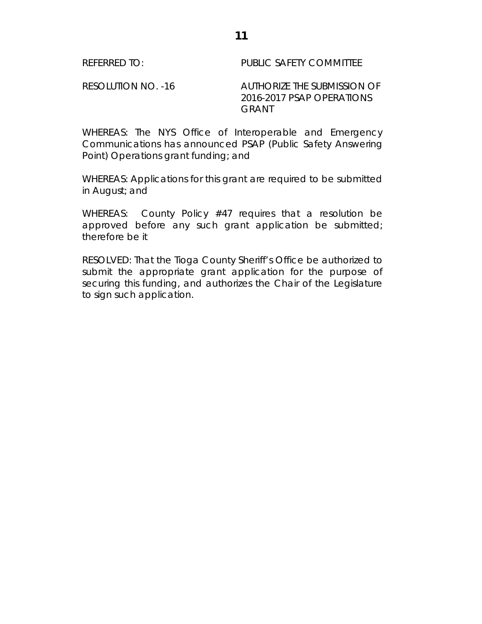REFERRED TO: PUBLIC SAFETY COMMITTEE

RESOLUTION NO. -16 AUTHORIZE THE SUBMISSION OF 2016-2017 PSAP OPERATIONS GRANT

WHEREAS: The NYS Office of Interoperable and Emergency Communications has announced PSAP (Public Safety Answering Point) Operations grant funding; and

WHEREAS: Applications for this grant are required to be submitted in August; and

WHEREAS: County Policy #47 requires that a resolution be approved before any such grant application be submitted; therefore be it

RESOLVED: That the Tioga County Sheriff's Office be authorized to submit the appropriate grant application for the purpose of securing this funding, and authorizes the Chair of the Legislature to sign such application.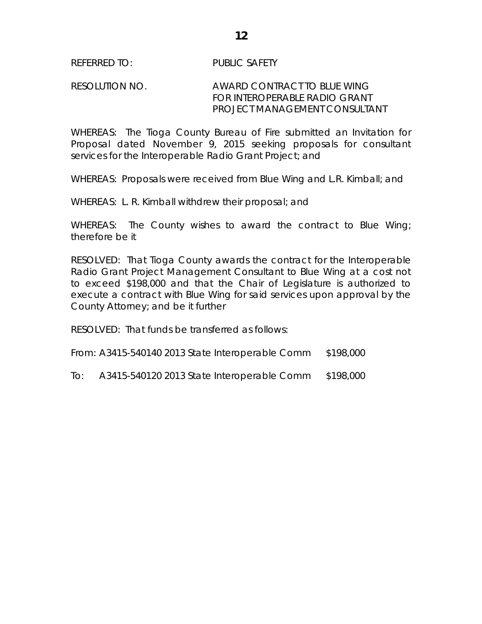# RESOLUTION NO. AWARD CONTRACT TO BLUE WING FOR INTEROPERABLE RADIO GRANT PROJECT MANAGEMENT CONSULTANT

WHEREAS: The Tioga County Bureau of Fire submitted an Invitation for Proposal dated November 9, 2015 seeking proposals for consultant services for the Interoperable Radio Grant Project; and

WHEREAS: Proposals were received from Blue Wing and L.R. Kimball; and

WHEREAS: L. R. Kimball withdrew their proposal; and

WHEREAS: The County wishes to award the contract to Blue Wing; therefore be it

RESOLVED: That Tioga County awards the contract for the Interoperable Radio Grant Project Management Consultant to Blue Wing at a cost not to exceed \$198,000 and that the Chair of Legislature is authorized to execute a contract with Blue Wing for said services upon approval by the County Attorney; and be it further

RESOLVED: That funds be transferred as follows:

From: A3415-540140 2013 State Interoperable Comm \$198,000

To: A3415-540120 2013 State Interoperable Comm \$198,000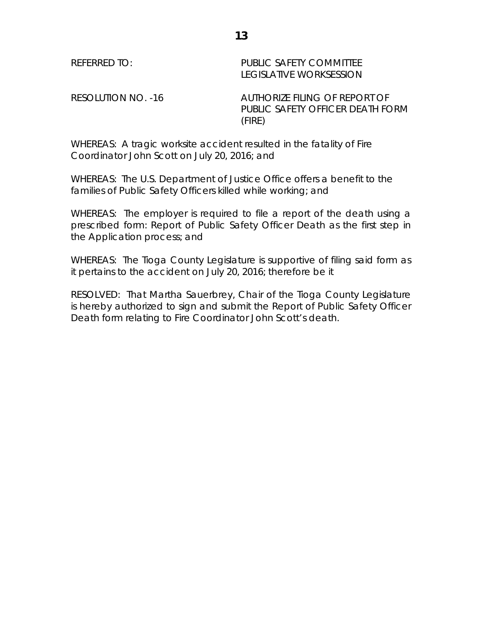REFERRED TO: The PUBLIC SAFETY COMMITTEE LEGISLATIVE WORKSESSION

RESOLUTION NO. -16 AUTHORIZE FILING OF REPORT OF PUBLIC SAFETY OFFICER DEATH FORM (FIRE)

WHEREAS: A tragic worksite accident resulted in the fatality of Fire Coordinator John Scott on July 20, 2016; and

WHEREAS: The U.S. Department of Justice Office offers a benefit to the families of Public Safety Officers killed while working; and

WHEREAS: The employer is required to file a report of the death using a prescribed form: *Report of Public Safety Officer Death* as the first step in the Application process; and

WHEREAS: The Tioga County Legislature is supportive of filing said form as it pertains to the accident on July 20, 2016; therefore be it

RESOLVED: That Martha Sauerbrey, Chair of the Tioga County Legislature is hereby authorized to sign and submit the Report of Public Safety Officer Death form relating to Fire Coordinator John Scott's death.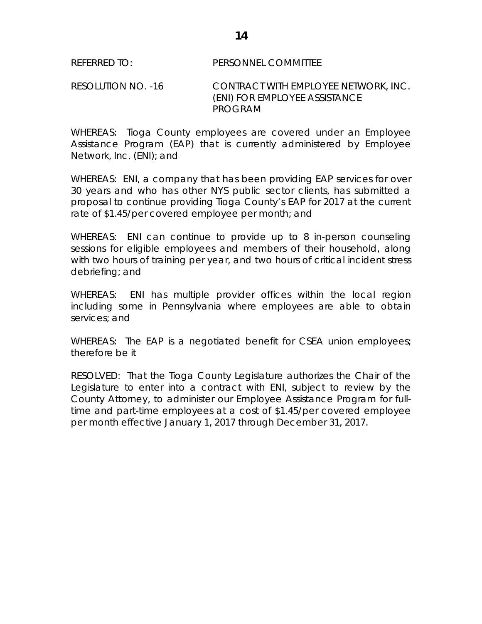RESOLUTION NO. -16 CONTRACT WITH EMPLOYEE NETWORK, INC. (ENI) FOR EMPLOYEE ASSISTANCE PROGRAM

WHEREAS: Tioga County employees are covered under an Employee Assistance Program (EAP) that is currently administered by Employee Network, Inc. (ENI); and

WHEREAS: ENI, a company that has been providing EAP services for over 30 years and who has other NYS public sector clients, has submitted a proposal to continue providing Tioga County's EAP for 2017 at the current rate of \$1.45/per covered employee per month; and

WHEREAS: ENI can continue to provide up to 8 in-person counseling sessions for eligible employees and members of their household, along with two hours of training per year, and two hours of critical incident stress debriefing; and

WHEREAS: ENI has multiple provider offices within the local region including some in Pennsylvania where employees are able to obtain services; and

WHEREAS: The EAP is a negotiated benefit for CSEA union employees; therefore be it

RESOLVED: That the Tioga County Legislature authorizes the Chair of the Legislature to enter into a contract with ENI, subject to review by the County Attorney, to administer our Employee Assistance Program for fulltime and part-time employees at a cost of \$1.45/per covered employee per month effective January 1, 2017 through December 31, 2017.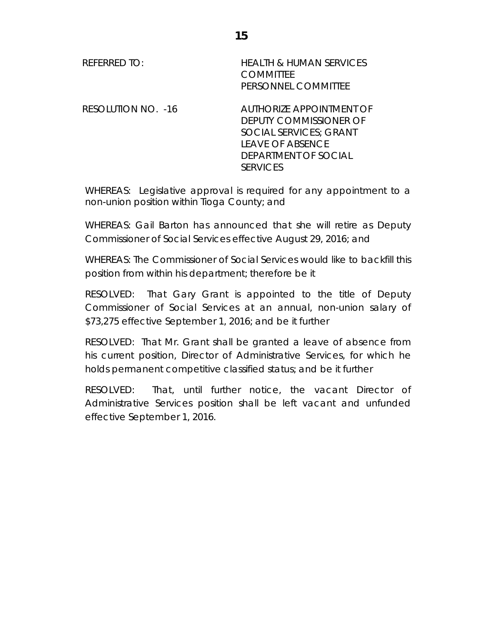| REFERRED TO:       | <b>HEALTH &amp; HUMAN SERVICES</b><br><b>COMMITTEE</b><br>PERSONNEL COMMITTEE                                                                                    |
|--------------------|------------------------------------------------------------------------------------------------------------------------------------------------------------------|
| RESOLUTION NO. -16 | <b>AUTHORIZE APPOINTMENT OF</b><br>DEPUTY COMMISSIONER OF<br><b>SOCIAL SERVICES: GRANT</b><br><b>LEAVE OF ABSENCE</b><br>DEPARTMENT OF SOCIAL<br><b>SERVICES</b> |

WHEREAS: Legislative approval is required for any appointment to a non-union position within Tioga County; and

WHEREAS: Gail Barton has announced that she will retire as Deputy Commissioner of Social Services effective August 29, 2016; and

WHEREAS: The Commissioner of Social Services would like to backfill this position from within his department; therefore be it

RESOLVED: That Gary Grant is appointed to the title of Deputy Commissioner of Social Services at an annual, non-union salary of \$73,275 effective September 1, 2016; and be it further

RESOLVED: That Mr. Grant shall be granted a leave of absence from his current position, Director of Administrative Services, for which he holds permanent competitive classified status; and be it further

RESOLVED: That, until further notice, the vacant Director of Administrative Services position shall be left vacant and unfunded effective September 1, 2016.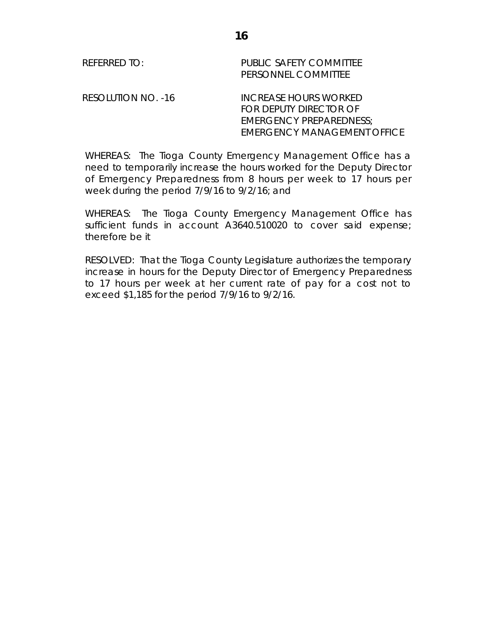WHEREAS: The Tioga County Emergency Management Office has a need to temporarily increase the hours worked for the Deputy Director of Emergency Preparedness from 8 hours per week to 17 hours per week during the period 7/9/16 to 9/2/16; and

EMERGENCY MANAGEMENT OFFICE

WHEREAS: The Tioga County Emergency Management Office has sufficient funds in account A3640.510020 to cover said expense; therefore be it

RESOLVED: That the Tioga County Legislature authorizes the temporary increase in hours for the Deputy Director of Emergency Preparedness to 17 hours per week at her current rate of pay for a cost not to exceed \$1,185 for the period 7/9/16 to 9/2/16.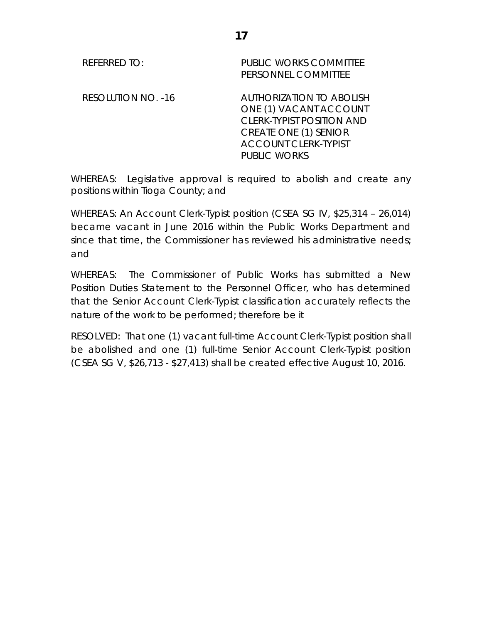| <b>REFERRED TO:</b>       | <b>PUBLIC WORKS COMMITTEE</b><br>PERSONNEL COMMITTEE                                                                                                                                |
|---------------------------|-------------------------------------------------------------------------------------------------------------------------------------------------------------------------------------|
| <b>RESOLUTION NO. -16</b> | <b>AUTHORIZATION TO ABOLISH</b><br>ONE (1) VACANT ACCOUNT<br><b>CLERK-TYPIST POSITION AND</b><br><b>CREATE ONE (1) SENIOR</b><br><b>ACCOUNT CLERK-TYPIST</b><br><b>PUBLIC WORKS</b> |

WHEREAS: Legislative approval is required to abolish and create any positions within Tioga County; and

WHEREAS: An Account Clerk-Typist position (CSEA SG IV, \$25,314 – 26,014) became vacant in June 2016 within the Public Works Department and since that time, the Commissioner has reviewed his administrative needs; and

WHEREAS: The Commissioner of Public Works has submitted a New Position Duties Statement to the Personnel Officer, who has determined that the Senior Account Clerk-Typist classification accurately reflects the nature of the work to be performed; therefore be it

RESOLVED: That one (1) vacant full-time Account Clerk-Typist position shall be abolished and one (1) full-time Senior Account Clerk-Typist position (CSEA SG V, \$26,713 - \$27,413) shall be created effective August 10, 2016.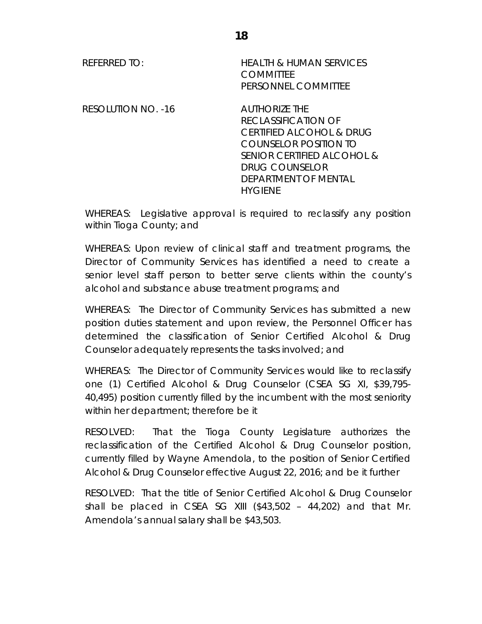| REFERRED TO:       | <b>HEALTH &amp; HUMAN SERVICES</b><br><b>COMMITTEE</b><br>PERSONNEL COMMITTEE                                                                                                       |
|--------------------|-------------------------------------------------------------------------------------------------------------------------------------------------------------------------------------|
| RESOLUTION NO. -16 | AUTHORIZE THE<br>RECLASSIFICATION OF<br>CERTIFIED ALCOHOL & DRUG<br>COUNSELOR POSITION TO<br>SENIOR CERTIFIED ALCOHOL &<br>DRUG COUNSELOR<br>DEPARTMENT OF MENTAL<br><b>HYGIENE</b> |

WHEREAS: Legislative approval is required to reclassify any position within Tioga County; and

WHEREAS: Upon review of clinical staff and treatment programs, the Director of Community Services has identified a need to create a senior level staff person to better serve clients within the county's alcohol and substance abuse treatment programs; and

WHEREAS: The Director of Community Services has submitted a new position duties statement and upon review, the Personnel Officer has determined the classification of Senior Certified Alcohol & Drug Counselor adequately represents the tasks involved; and

WHEREAS: The Director of Community Services would like to reclassify one (1) Certified Alcohol & Drug Counselor (CSEA SG XI, \$39,795- 40,495) position currently filled by the incumbent with the most seniority within her department; therefore be it

RESOLVED: That the Tioga County Legislature authorizes the reclassification of the Certified Alcohol & Drug Counselor position, currently filled by Wayne Amendola, to the position of Senior Certified Alcohol & Drug Counselor effective August 22, 2016; and be it further

RESOLVED: That the title of Senior Certified Alcohol & Drug Counselor shall be placed in CSEA SG XIII (\$43,502 – 44,202) and that Mr. Amendola's annual salary shall be \$43,503.